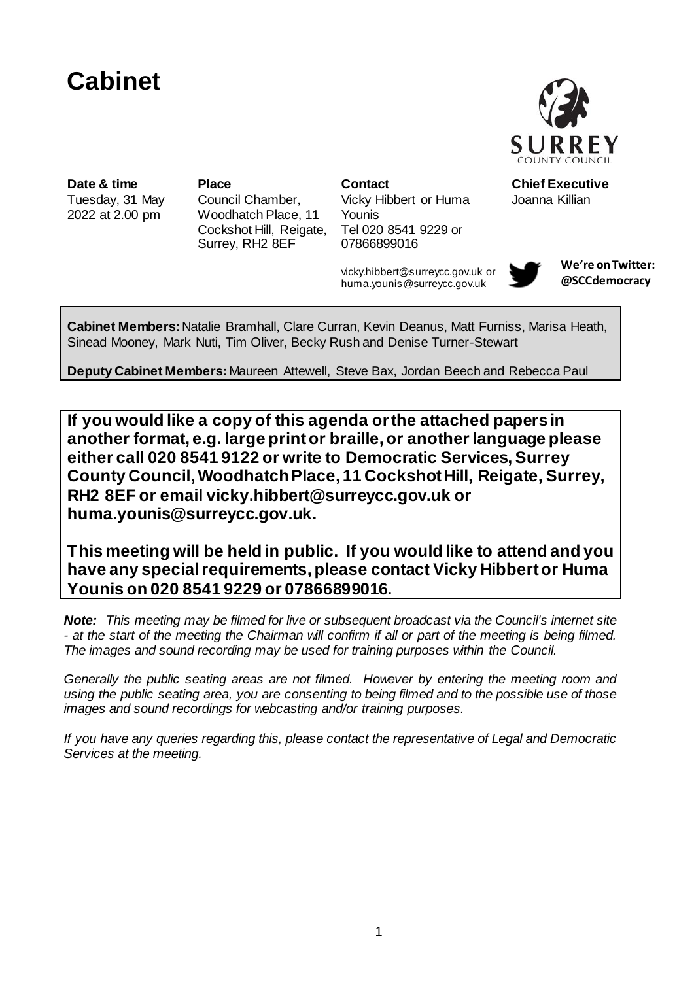# **Cabinet**



Tuesday, 31 May 2022 at 2.00 pm

Council Chamber, Woodhatch Place, 11 Cockshot Hill, Reigate, Surrey, RH2 8EF

**Date & time Place Contact** Chief Executive Vicky Hibbert or Huma Younis Tel 020 8541 9229 or 07866899016

> vicky.hibbert@surreycc.gov.uk or huma.younis@surreycc.gov.uk



Joanna Killian

**We're on Twitter: @SCCdemocracy**

**Cabinet Members:**Natalie Bramhall, Clare Curran, Kevin Deanus, Matt Furniss, Marisa Heath, Sinead Mooney, Mark Nuti, Tim Oliver, Becky Rush and Denise Turner-Stewart

**Deputy Cabinet Members:** Maureen Attewell, Steve Bax, Jordan Beech and Rebecca Paul

**If you would like a copy of this agenda or the attached papers in another format, e.g. large print or braille, or another language please either call 020 8541 9122 or write to Democratic Services, Surrey County Council,Woodhatch Place, 11 Cockshot Hill, Reigate, Surrey, RH2 8EF or email vicky.hibbert@surreycc.gov.uk or huma.younis@surreycc.gov.uk.**

**This meeting will be held in public. If you would like to attend and you have any special requirements, please contact Vicky Hibbert or Huma Younis on 020 8541 9229 or 07866899016.**

*Note: This meeting may be filmed for live or subsequent broadcast via the Council's internet site - at the start of the meeting the Chairman will confirm if all or part of the meeting is being filmed. The images and sound recording may be used for training purposes within the Council.*

*Generally the public seating areas are not filmed. However by entering the meeting room and using the public seating area, you are consenting to being filmed and to the possible use of those images and sound recordings for webcasting and/or training purposes.* 

*If you have any queries regarding this, please contact the representative of Legal and Democratic Services at the meeting.*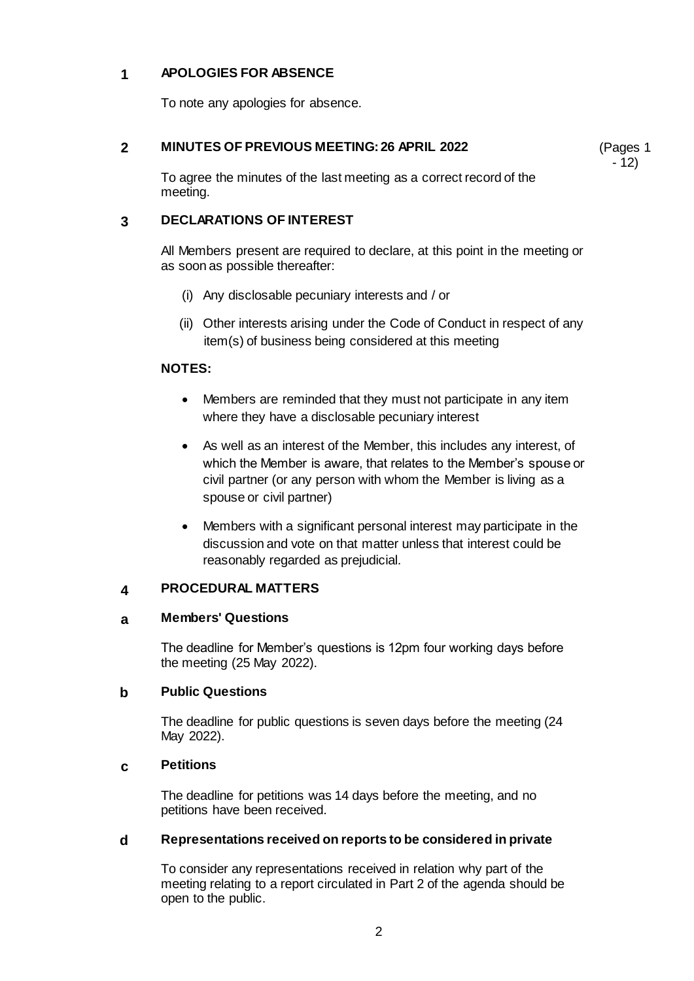# **1 APOLOGIES FOR ABSENCE**

To note any apologies for absence.

# **2 MINUTES OF PREVIOUS MEETING: 26 APRIL 2022**

(Pages 1  $-12)$ 

To agree the minutes of the last meeting as a correct record of the meeting.

# **3 DECLARATIONS OF INTEREST**

All Members present are required to declare, at this point in the meeting or as soon as possible thereafter:

- (i) Any disclosable pecuniary interests and / or
- (ii) Other interests arising under the Code of Conduct in respect of any item(s) of business being considered at this meeting

# **NOTES:**

- Members are reminded that they must not participate in any item where they have a disclosable pecuniary interest
- As well as an interest of the Member, this includes any interest, of which the Member is aware, that relates to the Member's spouse or civil partner (or any person with whom the Member is living as a spouse or civil partner)
- Members with a significant personal interest may participate in the discussion and vote on that matter unless that interest could be reasonably regarded as prejudicial.

# **4 PROCEDURAL MATTERS**

# **a Members' Questions**

The deadline for Member's questions is 12pm four working days before the meeting (25 May 2022).

# **b Public Questions**

The deadline for public questions is seven days before the meeting (24 May 2022).

# **c Petitions**

The deadline for petitions was 14 days before the meeting, and no petitions have been received.

# **d Representations received on reports to be considered in private**

To consider any representations received in relation why part of the meeting relating to a report circulated in Part 2 of the agenda should be open to the public.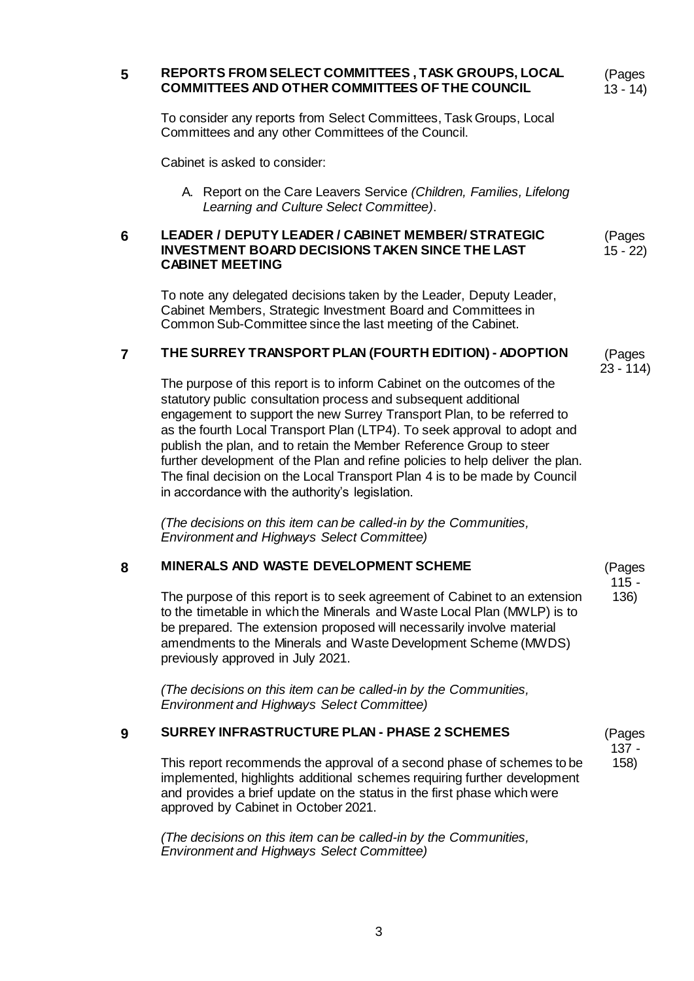# **5 REPORTS FROM SELECT COMMITTEES , TASK GROUPS, LOCAL COMMITTEES AND OTHER COMMITTEES OF THE COUNCIL**

(Pages 13 - 14)

To consider any reports from Select Committees, Task Groups, Local Committees and any other Committees of the Council.

Cabinet is asked to consider:

A. Report on the Care Leavers Service *(Children, Families, Lifelong Learning and Culture Select Committee)*.

#### **6 LEADER / DEPUTY LEADER / CABINET MEMBER/ STRATEGIC INVESTMENT BOARD DECISIONS TAKEN SINCE THE LAST CABINET MEETING** (Pages 15 - 22)

To note any delegated decisions taken by the Leader, Deputy Leader, Cabinet Members, Strategic Investment Board and Committees in Common Sub-Committee since the last meeting of the Cabinet.

# **7 THE SURREY TRANSPORT PLAN (FOURTH EDITION) - ADOPTION**

(Pages 23 - 114)

> (Pages 115 - 136)

(Pages 137 - 158)

The purpose of this report is to inform Cabinet on the outcomes of the statutory public consultation process and subsequent additional engagement to support the new Surrey Transport Plan, to be referred to as the fourth Local Transport Plan (LTP4). To seek approval to adopt and publish the plan, and to retain the Member Reference Group to steer further development of the Plan and refine policies to help deliver the plan. The final decision on the Local Transport Plan 4 is to be made by Council in accordance with the authority's legislation.

*(The decisions on this item can be called-in by the Communities, Environment and Highways Select Committee)*

# **8 MINERALS AND WASTE DEVELOPMENT SCHEME**

The purpose of this report is to seek agreement of Cabinet to an extension to the timetable in which the Minerals and Waste Local Plan (MWLP) is to be prepared. The extension proposed will necessarily involve material amendments to the Minerals and Waste Development Scheme (MWDS) previously approved in July 2021.

*(The decisions on this item can be called-in by the Communities, Environment and Highways Select Committee)*

# **9 SURREY INFRASTRUCTURE PLAN - PHASE 2 SCHEMES**

This report recommends the approval of a second phase of schemes to be implemented, highlights additional schemes requiring further development and provides a brief update on the status in the first phase which were approved by Cabinet in October 2021.

*(The decisions on this item can be called-in by the Communities, Environment and Highways Select Committee)*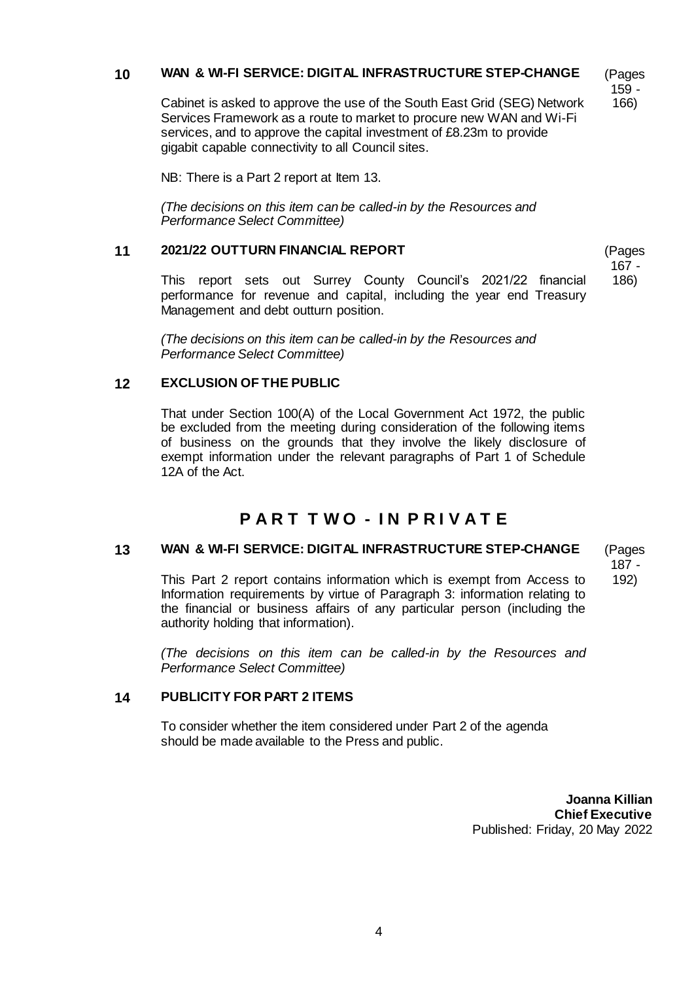# **10 WAN & WI-FI SERVICE: DIGITAL INFRASTRUCTURE STEP-CHANGE**

(Pages 159 - 166)

Cabinet is asked to approve the use of the South East Grid (SEG) Network Services Framework as a route to market to procure new WAN and Wi-Fi services, and to approve the capital investment of £8.23m to provide gigabit capable connectivity to all Council sites.

NB: There is a Part 2 report at Item 13.

*(The decisions on this item can be called-in by the Resources and Performance Select Committee)*

#### **11 2021/22 OUTTURN FINANCIAL REPORT**

(Pages 167 - 186)

This report sets out Surrey County Council's 2021/22 financial performance for revenue and capital, including the year end Treasury Management and debt outturn position.

*(The decisions on this item can be called-in by the Resources and Performance Select Committee)*

# **12 EXCLUSION OF THE PUBLIC**

That under Section 100(A) of the Local Government Act 1972, the public be excluded from the meeting during consideration of the following items of business on the grounds that they involve the likely disclosure of exempt information under the relevant paragraphs of Part 1 of Schedule 12A of the Act.

# **P A R T T W O - I N P R I V A T E**

# **13 WAN & WI-FI SERVICE: DIGITAL INFRASTRUCTURE STEP-CHANGE**

(Pages 187 - 192)

This Part 2 report contains information which is exempt from Access to Information requirements by virtue of Paragraph 3: information relating to the financial or business affairs of any particular person (including the authority holding that information).

*(The decisions on this item can be called-in by the Resources and Performance Select Committee)*

# **14 PUBLICITY FOR PART 2 ITEMS**

To consider whether the item considered under Part 2 of the agenda should be made available to the Press and public.

> **Joanna Killian Chief Executive** Published: Friday, 20 May 2022